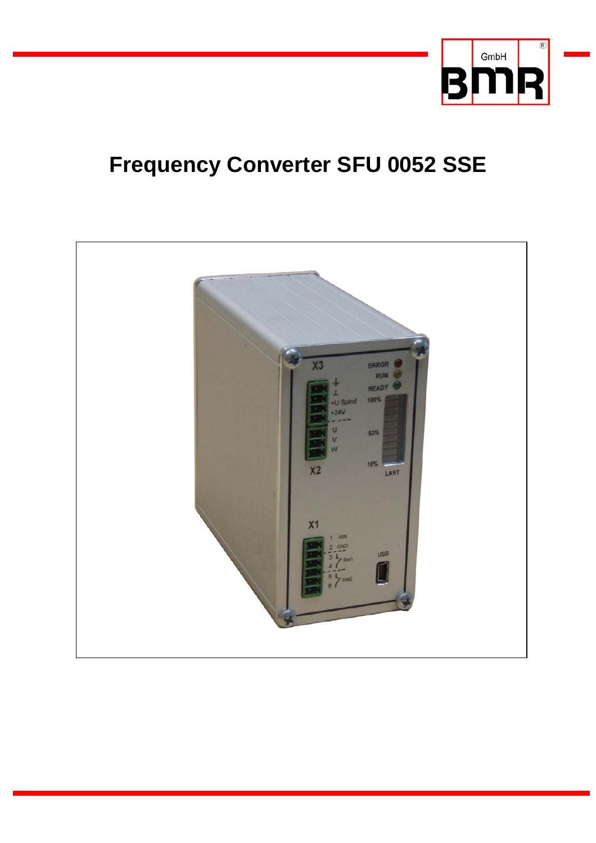

# **Frequency Converter SFU 0052 SSE**

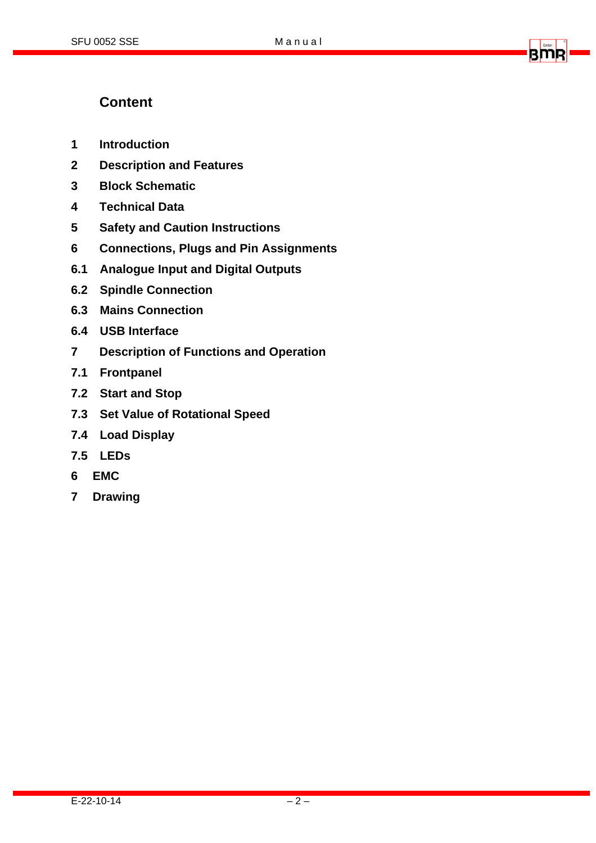## amıe

### **Content**

- **1 Introduction**
- **2 Description and Features**
- **3 Block Schematic**
- **4 Technical Data**
- **5 Safety and Caution Instructions**
- **6 Connections, Plugs and Pin Assignments**
- **6.1 Analogue Input and Digital Outputs**
- **6.2 Spindle Connection**
- **6.3 Mains Connection**
- **6.4 USB Interface**
- **7 Description of Functions and Operation**
- **7.1 Frontpanel**
- **7.2 Start and Stop**
- **7.3 Set Value of Rotational Speed**
- **7.4 Load Display**
- **7.5 LEDs**
- **6 EMC**
- **7 Drawing**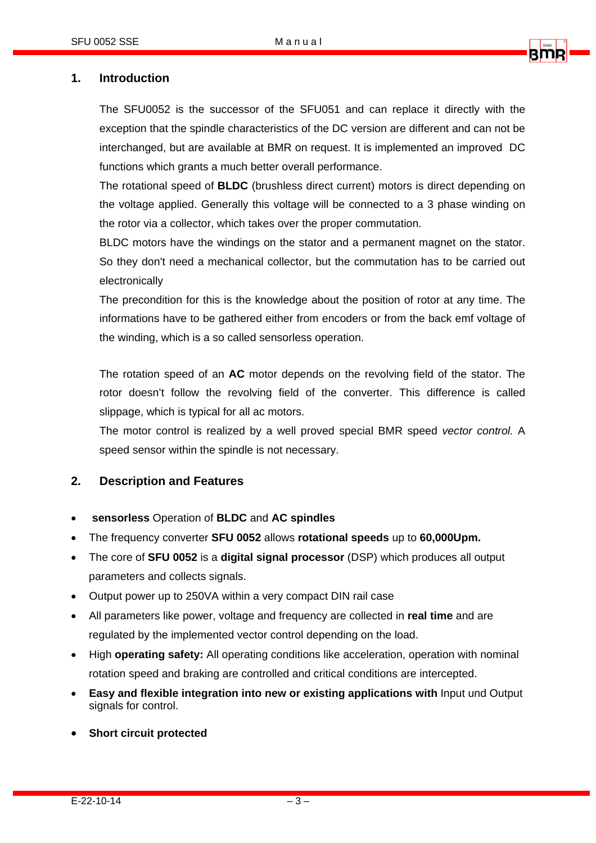

#### **1. Introduction**

The SFU0052 is the successor of the SFU051 and can replace it directly with the exception that the spindle characteristics of the DC version are different and can not be interchanged, but are available at BMR on request. It is implemented an improved DC functions which grants a much better overall performance.

The rotational speed of **BLDC** (brushless direct current) motors is direct depending on the voltage applied. Generally this voltage will be connected to a 3 phase winding on the rotor via a collector, which takes over the proper commutation.

BLDC motors have the windings on the stator and a permanent magnet on the stator. So they don't need a mechanical collector, but the commutation has to be carried out electronically

The precondition for this is the knowledge about the position of rotor at any time. The informations have to be gathered either from encoders or from the back emf voltage of the winding, which is a so called sensorless operation.

The rotation speed of an **AC** motor depends on the revolving field of the stator. The rotor doesn't follow the revolving field of the converter. This difference is called slippage, which is typical for all ac motors.

The motor control is realized by a well proved special BMR speed *vector control.* A speed sensor within the spindle is not necessary.

#### **2. Description and Features**

- **sensorless** Operation of **BLDC** and **AC spindles**
- The frequency converter **SFU 0052** allows **rotational speeds** up to **60,000Upm.**
- The core of **SFU 0052** is a **digital signal processor** (DSP) which produces all output parameters and collects signals.
- Output power up to 250VA within a very compact DIN rail case
- All parameters like power, voltage and frequency are collected in **real time** and are regulated by the implemented vector control depending on the load.
- High **operating safety:** All operating conditions like acceleration, operation with nominal rotation speed and braking are controlled and critical conditions are intercepted.
- **Easy and flexible integration into new or existing applications with** Input und Output signals for control.
- **Short circuit protected**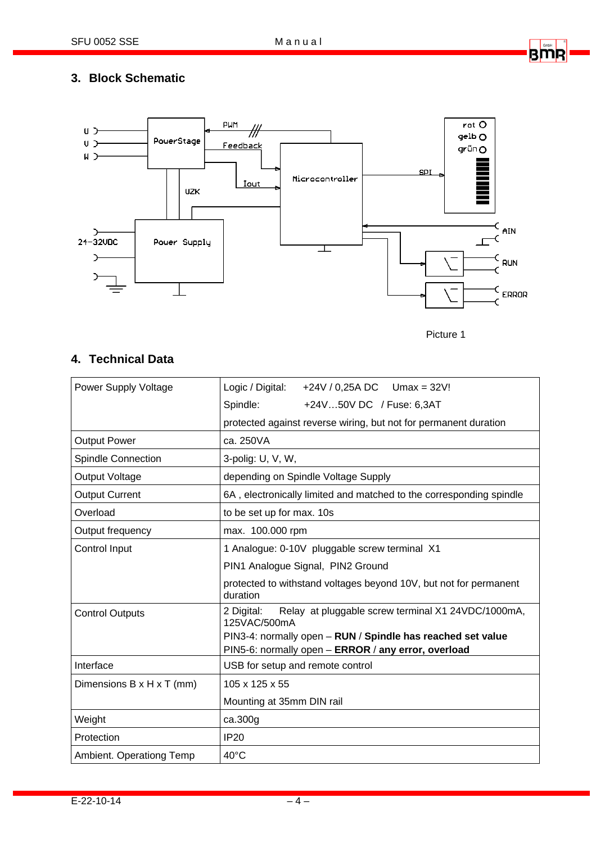

#### **3. Block Schematic**





#### **4. Technical Data**

| Power Supply Voltage      | Logic / Digital:<br>+24V / 0,25A DC Umax = 32V!                                                                    |  |  |  |
|---------------------------|--------------------------------------------------------------------------------------------------------------------|--|--|--|
|                           | Spindle:<br>+24V50V DC / Fuse: 6,3AT                                                                               |  |  |  |
|                           | protected against reverse wiring, but not for permanent duration                                                   |  |  |  |
| <b>Output Power</b>       | ca. 250VA                                                                                                          |  |  |  |
| <b>Spindle Connection</b> | 3-polig: U, V, W,                                                                                                  |  |  |  |
| Output Voltage            | depending on Spindle Voltage Supply                                                                                |  |  |  |
| <b>Output Current</b>     | 6A, electronically limited and matched to the corresponding spindle                                                |  |  |  |
| Overload                  | to be set up for max. 10s                                                                                          |  |  |  |
| Output frequency          | max. 100.000 rpm                                                                                                   |  |  |  |
| Control Input             | 1 Analogue: 0-10V pluggable screw terminal X1                                                                      |  |  |  |
|                           | PIN1 Analogue Signal, PIN2 Ground                                                                                  |  |  |  |
|                           | protected to withstand voltages beyond 10V, but not for permanent<br>duration                                      |  |  |  |
| <b>Control Outputs</b>    | 2 Digital:<br>Relay at pluggable screw terminal X1 24VDC/1000mA,<br>125VAC/500mA                                   |  |  |  |
|                           | PIN3-4: normally open - RUN / Spindle has reached set value<br>PIN5-6: normally open - ERROR / any error, overload |  |  |  |
| Interface                 | USB for setup and remote control                                                                                   |  |  |  |
| Dimensions B x H x T (mm) | 105 x 125 x 55                                                                                                     |  |  |  |
|                           | Mounting at 35mm DIN rail                                                                                          |  |  |  |
| Weight                    | ca.300g                                                                                                            |  |  |  |
| Protection                | IP20                                                                                                               |  |  |  |
| Ambient. Operationg Temp  | $40^{\circ}$ C                                                                                                     |  |  |  |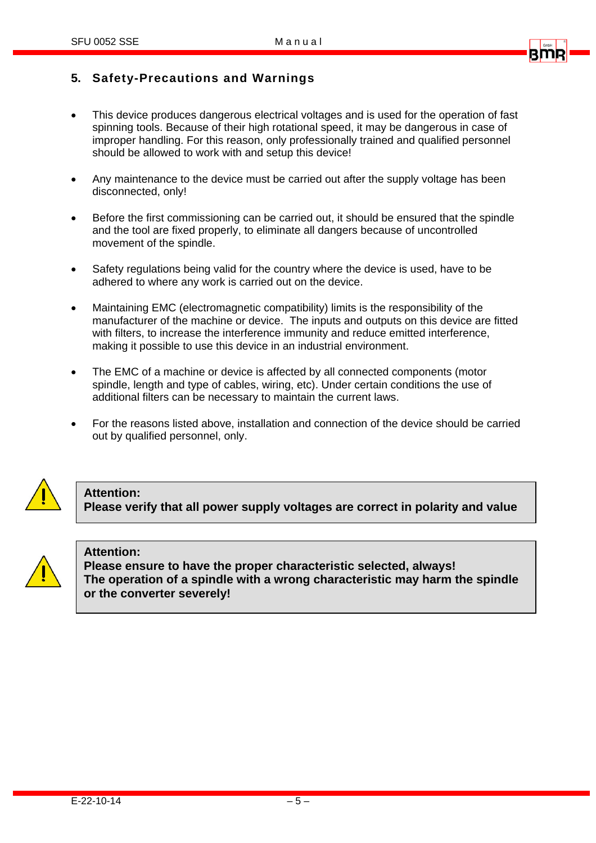

#### **5. Safety-Precautions and Warnings**

- This device produces dangerous electrical voltages and is used for the operation of fast spinning tools. Because of their high rotational speed, it may be dangerous in case of improper handling. For this reason, only professionally trained and qualified personnel should be allowed to work with and setup this device!
- Any maintenance to the device must be carried out after the supply voltage has been disconnected, only!
- Before the first commissioning can be carried out, it should be ensured that the spindle and the tool are fixed properly, to eliminate all dangers because of uncontrolled movement of the spindle.
- Safety regulations being valid for the country where the device is used, have to be adhered to where any work is carried out on the device.
- Maintaining EMC (electromagnetic compatibility) limits is the responsibility of the manufacturer of the machine or device. The inputs and outputs on this device are fitted with filters, to increase the interference immunity and reduce emitted interference, making it possible to use this device in an industrial environment.
- The EMC of a machine or device is affected by all connected components (motor spindle, length and type of cables, wiring, etc). Under certain conditions the use of additional filters can be necessary to maintain the current laws.
- For the reasons listed above, installation and connection of the device should be carried out by qualified personnel, only.



#### **Attention:**

**Please verify that all power supply voltages are correct in polarity and value** 



#### **Attention:**

**Please ensure to have the proper characteristic selected, always! The operation of a spindle with a wrong characteristic may harm the spindle or the converter severely!**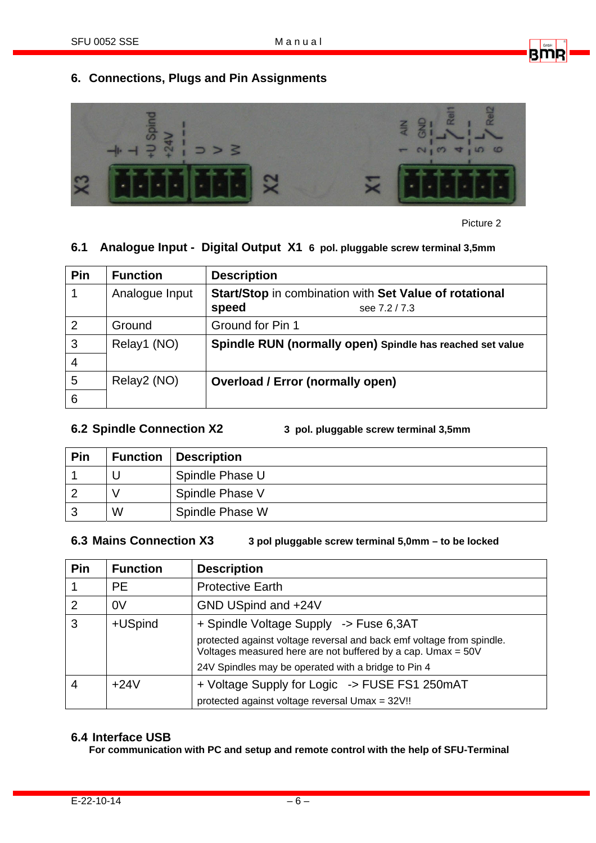

#### **6. Connections, Plugs and Pin Assignments**



Picture 2

#### **6.1 Analogue Input - Digital Output X1 6 pol. pluggable screw terminal 3,5mm**

| Pin            | <b>Function</b> | <b>Description</b>                                        |
|----------------|-----------------|-----------------------------------------------------------|
| 1              | Analogue Input  | Start/Stop in combination with Set Value of rotational    |
|                |                 | speed<br>see 7.2/7.3                                      |
| 2              | Ground          | Ground for Pin 1                                          |
| $\mathbf{3}$   | Relay1 (NO)     | Spindle RUN (normally open) Spindle has reached set value |
| $\overline{4}$ |                 |                                                           |
| 5              | Relay2 (NO)     | <b>Overload / Error (normally open)</b>                   |
| 6              |                 |                                                           |

**6.2 Spindle Connection X2 3 pol. pluggable screw terminal 3,5mm** 

| Pin |   | <b>Function   Description</b> |
|-----|---|-------------------------------|
|     |   | Spindle Phase U               |
|     |   | Spindle Phase V               |
| っ   | W | Spindle Phase W               |

#### **6.3 Mains Connection X3 3 pol pluggable screw terminal 5,0mm – to be locked**

| Pin            | <b>Function</b> | <b>Description</b>                                                                                                                    |
|----------------|-----------------|---------------------------------------------------------------------------------------------------------------------------------------|
|                | <b>PE</b>       | <b>Protective Earth</b>                                                                                                               |
| $\overline{2}$ | 0V              | GND USpind and +24V                                                                                                                   |
| 3              | +USpind         | + Spindle Voltage Supply -> Fuse 6,3AT                                                                                                |
|                |                 | protected against voltage reversal and back emf voltage from spindle.<br>Voltages measured here are not buffered by a cap. Umax = 50V |
|                |                 | 24V Spindles may be operated with a bridge to Pin 4                                                                                   |
| $\overline{4}$ | $+24V$          | + Voltage Supply for Logic -> FUSE FS1 250mAT                                                                                         |
|                |                 | protected against voltage reversal Umax = 32V!!                                                                                       |

#### **6.4 Interface USB**

**For communication with PC and setup and remote control with the help of SFU-Terminal**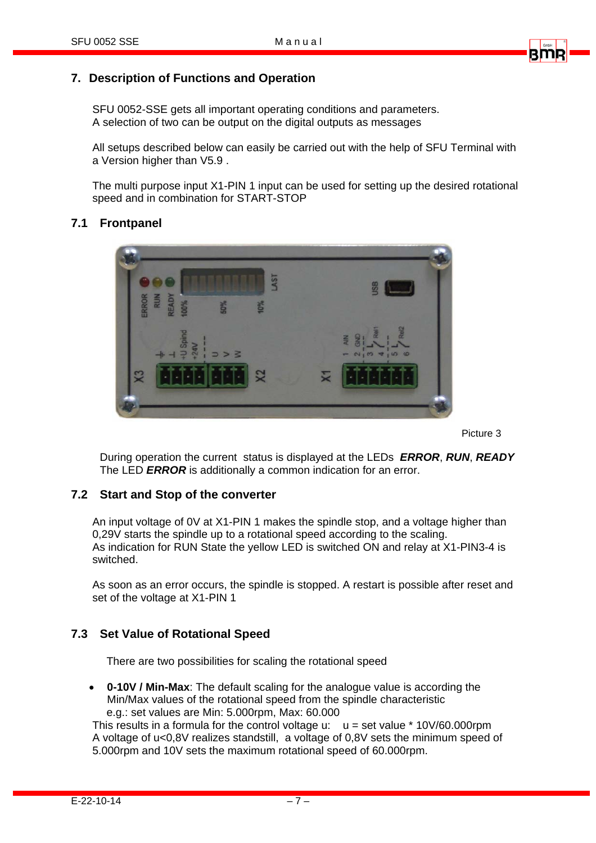

 SFU 0052-SSE gets all important operating conditions and parameters. A selection of two can be output on the digital outputs as messages

 All setups described below can easily be carried out with the help of SFU Terminal with a Version higher than V5.9 .

 The multi purpose input X1-PIN 1 input can be used for setting up the desired rotational speed and in combination for START-STOP

#### **7.1 Frontpanel**



Picture 3

During operation the current status is displayed at the LEDs *ERROR*, *RUN*, *READY* The LED *ERROR* is additionally a common indication for an error.

#### **7.2 Start and Stop of the converter**

An input voltage of 0V at X1-PIN 1 makes the spindle stop, and a voltage higher than 0,29V starts the spindle up to a rotational speed according to the scaling. As indication for RUN State the yellow LED is switched ON and relay at X1-PIN3-4 is switched.

As soon as an error occurs, the spindle is stopped. A restart is possible after reset and set of the voltage at X1-PIN 1

#### **7.3 Set Value of Rotational Speed**

There are two possibilities for scaling the rotational speed

• **0-10V / Min-Max**: The default scaling for the analogue value is according the Min/Max values of the rotational speed from the spindle characteristic e.g.: set values are Min: 5.000rpm, Max: 60.000

This results in a formula for the control voltage u:  $u = set$  value \* 10V/60.000rpm A voltage of u<0,8V realizes standstill, a voltage of 0,8V sets the minimum speed of 5.000rpm and 10V sets the maximum rotational speed of 60.000rpm.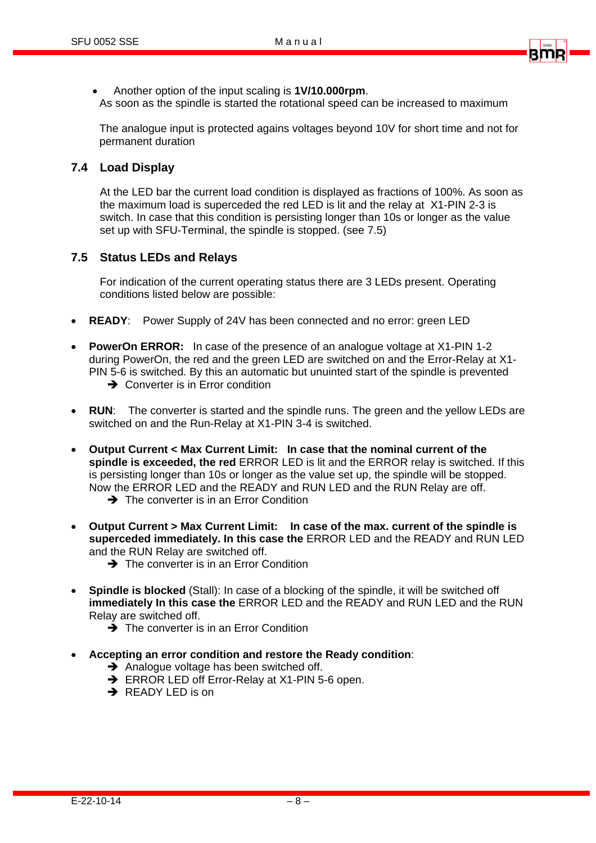

• Another option of the input scaling is **1V/10.000rpm**. As soon as the spindle is started the rotational speed can be increased to maximum

The analogue input is protected agains voltages beyond 10V for short time and not for permanent duration

#### **7.4 Load Display**

At the LED bar the current load condition is displayed as fractions of 100%. As soon as the maximum load is superceded the red LED is lit and the relay at X1-PIN 2-3 is switch. In case that this condition is persisting longer than 10s or longer as the value set up with SFU-Terminal, the spindle is stopped. (see 7.5)

#### **7.5 Status LEDs and Relays**

For indication of the current operating status there are 3 LEDs present. Operating conditions listed below are possible:

- **READY**: Power Supply of 24V has been connected and no error: green LED
- **PowerOn ERROR:** In case of the presence of an analogue voltage at X1-PIN 1-2 during PowerOn, the red and the green LED are switched on and the Error-Relay at X1- PIN 5-6 is switched. By this an automatic but unuinted start of the spindle is prevented
	- $\rightarrow$  Converter is in Error condition
- **RUN**: The converter is started and the spindle runs. The green and the yellow LEDs are switched on and the Run-Relay at X1-PIN 3-4 is switched.
- **Output Current < Max Current Limit: In case that the nominal current of the spindle is exceeded, the red** ERROR LED is lit and the ERROR relay is switched. If this is persisting longer than 10s or longer as the value set up, the spindle will be stopped. Now the ERROR LED and the READY and RUN LED and the RUN Relay are off.
	- $\rightarrow$  The converter is in an Error Condition
- **Output Current > Max Current Limit: In case of the max. current of the spindle is superceded immediately. In this case the** ERROR LED and the READY and RUN LED and the RUN Relay are switched off.
	- $\rightarrow$  The converter is in an Error Condition
- **Spindle is blocked** (Stall): In case of a blocking of the spindle, it will be switched off **immediately In this case the** ERROR LED and the READY and RUN LED and the RUN Relay are switched off.
	- $\rightarrow$  The converter is in an Error Condition
- **Accepting an error condition and restore the Ready condition**:
	- $\rightarrow$  Analogue voltage has been switched off.
	- $\rightarrow$  ERROR LED off Error-Relay at X1-PIN 5-6 open.
	- $\rightarrow$  READY LED is on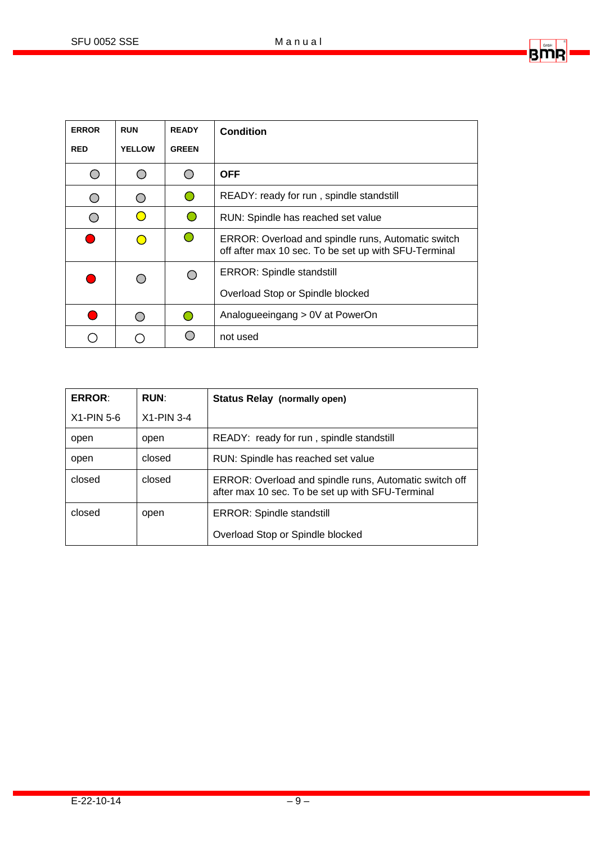BMR

| <b>ERROR</b> | <b>RUN</b>    | <b>READY</b> | <b>Condition</b>                                                                                           |
|--------------|---------------|--------------|------------------------------------------------------------------------------------------------------------|
| <b>RED</b>   | <b>YELLOW</b> | <b>GREEN</b> |                                                                                                            |
|              |               | ◯            | <b>OFF</b>                                                                                                 |
|              | $\bigcirc$    | ∩            | READY: ready for run, spindle standstill                                                                   |
|              | $\bigcirc$    |              | RUN: Spindle has reached set value                                                                         |
|              | $\Box$        | $\bigcirc$   | ERROR: Overload and spindle runs, Automatic switch<br>off after max 10 sec. To be set up with SFU-Terminal |
|              |               |              | <b>ERROR: Spindle standstill</b>                                                                           |
|              |               |              | Overload Stop or Spindle blocked                                                                           |
|              |               | 0            | Analogueeingang > 0V at PowerOn                                                                            |
|              |               |              | not used                                                                                                   |

| <b>ERROR:</b> | <b>RUN:</b>  | <b>Status Relay (normally open)</b>                                                                        |
|---------------|--------------|------------------------------------------------------------------------------------------------------------|
| $X1-PIN 5-6$  | $X1-PIN 3-4$ |                                                                                                            |
| open          | open         | READY: ready for run, spindle standstill                                                                   |
| open          | closed       | RUN: Spindle has reached set value                                                                         |
| closed        | closed       | ERROR: Overload and spindle runs, Automatic switch off<br>after max 10 sec. To be set up with SFU-Terminal |
| closed        | open         | <b>ERROR: Spindle standstill</b>                                                                           |
|               |              | Overload Stop or Spindle blocked                                                                           |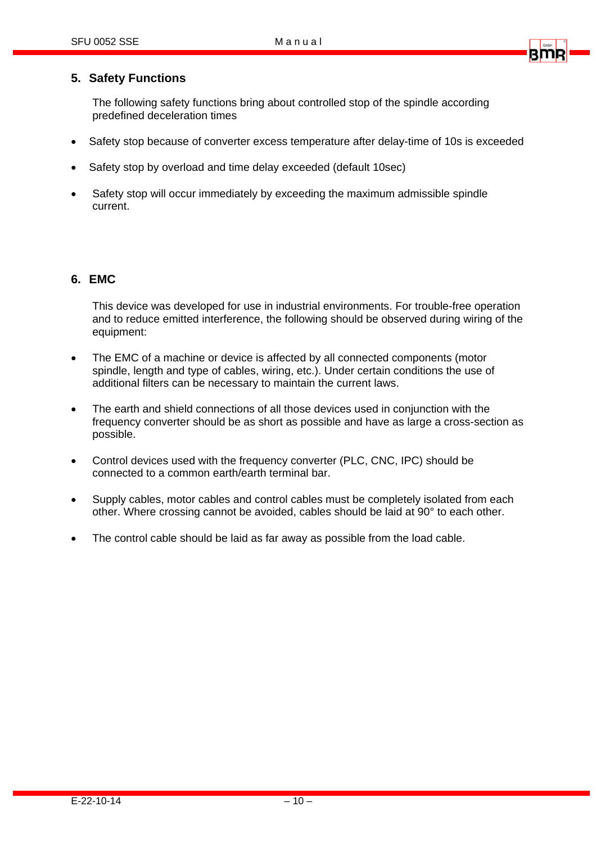#### **5. Safety Functions**

The following safety functions bring about controlled stop of the spindle according predefined deceleration times

- Safety stop because of converter excess temperature after delay-time of 10s is exceeded
- Safety stop by overload and time delay exceeded (default 10sec)
- Safety stop will occur immediately by exceeding the maximum admissible spindle current.

#### **6. EMC**

 This device was developed for use in industrial environments. For trouble-free operation and to reduce emitted interference, the following should be observed during wiring of the equipment:

- The EMC of a machine or device is affected by all connected components (motor spindle, length and type of cables, wiring, etc.). Under certain conditions the use of additional filters can be necessary to maintain the current laws.
- The earth and shield connections of all those devices used in conjunction with the frequency converter should be as short as possible and have as large a cross-section as possible.
- Control devices used with the frequency converter (PLC, CNC, IPC) should be connected to a common earth/earth terminal bar.
- Supply cables, motor cables and control cables must be completely isolated from each other. Where crossing cannot be avoided, cables should be laid at 90° to each other.
- The control cable should be laid as far away as possible from the load cable.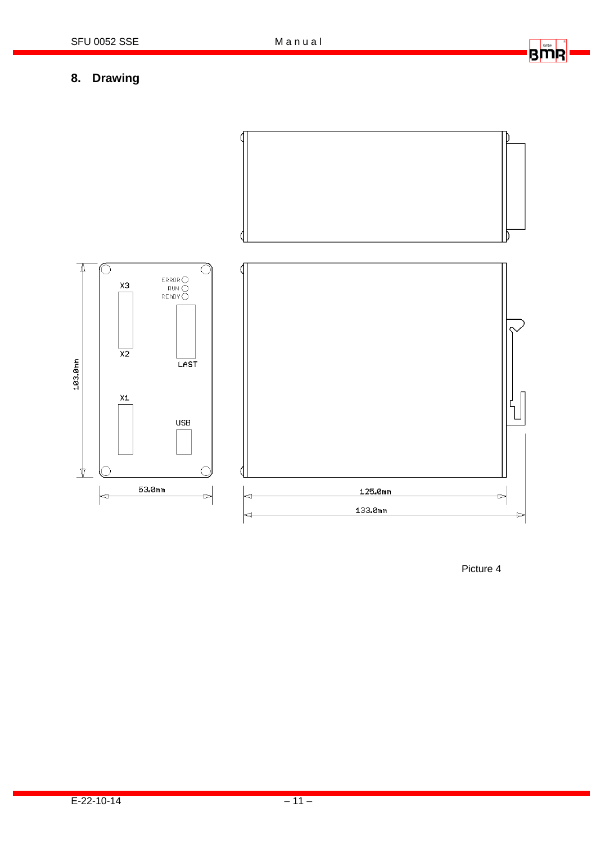# BMR

## 8. Drawing



Picture 4